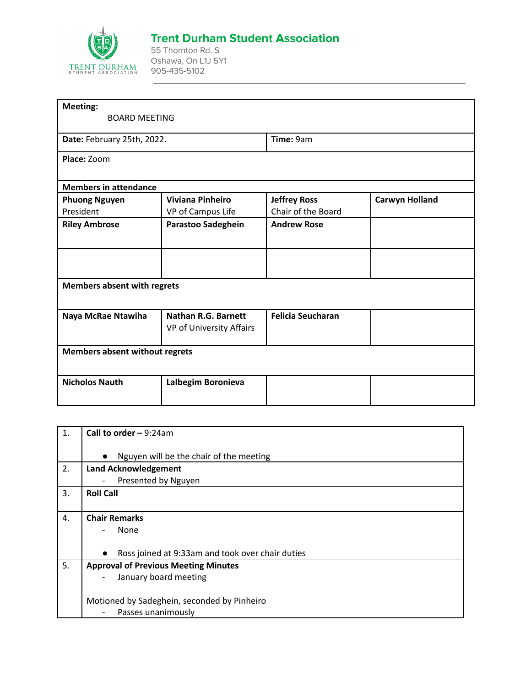

## **Trent Durham Student Association**

55 Thornton Rd. S Oshawa, On L1J 5Y1 905-435-5102

| <b>Meeting:</b>                       |                                                        |                          |                       |
|---------------------------------------|--------------------------------------------------------|--------------------------|-----------------------|
| <b>BOARD MEETING</b>                  |                                                        |                          |                       |
| Date: February 25th, 2022.            |                                                        | Time: 9am                |                       |
| Place: Zoom                           |                                                        |                          |                       |
| <b>Members in attendance</b>          |                                                        |                          |                       |
| <b>Phuong Nguyen</b>                  | <b>Viviana Pinheiro</b>                                | <b>Jeffrey Ross</b>      | <b>Carwyn Holland</b> |
| President                             | VP of Campus Life                                      | Chair of the Board       |                       |
| <b>Riley Ambrose</b>                  | Parastoo Sadeghein                                     | <b>Andrew Rose</b>       |                       |
|                                       |                                                        |                          |                       |
| <b>Members absent with regrets</b>    |                                                        |                          |                       |
| Naya McRae Ntawiha                    | <b>Nathan R.G. Barnett</b><br>VP of University Affairs | <b>Felicia Seucharan</b> |                       |
| <b>Members absent without regrets</b> |                                                        |                          |                       |
| <b>Nicholos Nauth</b>                 | Lalbegim Boronieva                                     |                          |                       |

| 1. | Call to order $-9:24am$                                       |  |
|----|---------------------------------------------------------------|--|
|    | Nguyen will be the chair of the meeting<br>$\bullet$          |  |
| 2. | <b>Land Acknowledgement</b>                                   |  |
|    | Presented by Nguyen                                           |  |
| 3. | <b>Roll Call</b>                                              |  |
|    |                                                               |  |
| 4. | <b>Chair Remarks</b>                                          |  |
|    | None<br>$\overline{a}$                                        |  |
|    |                                                               |  |
|    | Ross joined at 9:33am and took over chair duties<br>$\bullet$ |  |
| 5. | <b>Approval of Previous Meeting Minutes</b>                   |  |
|    | January board meeting                                         |  |
|    |                                                               |  |
|    | Motioned by Sadeghein, seconded by Pinheiro                   |  |
|    | Passes unanimously<br>$\overline{\phantom{a}}$                |  |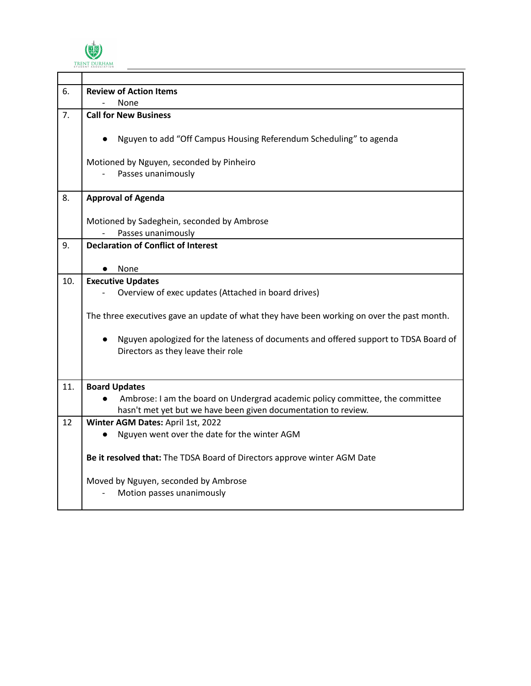

| 6.  | <b>Review of Action Items</b>                                                                                              |  |
|-----|----------------------------------------------------------------------------------------------------------------------------|--|
|     | None                                                                                                                       |  |
| 7.  | <b>Call for New Business</b>                                                                                               |  |
|     | Nguyen to add "Off Campus Housing Referendum Scheduling" to agenda                                                         |  |
|     | Motioned by Nguyen, seconded by Pinheiro                                                                                   |  |
|     | Passes unanimously                                                                                                         |  |
|     |                                                                                                                            |  |
| 8.  | <b>Approval of Agenda</b>                                                                                                  |  |
|     | Motioned by Sadeghein, seconded by Ambrose                                                                                 |  |
|     | Passes unanimously                                                                                                         |  |
| 9.  | <b>Declaration of Conflict of Interest</b>                                                                                 |  |
|     |                                                                                                                            |  |
|     | None                                                                                                                       |  |
| 10. | <b>Executive Updates</b>                                                                                                   |  |
|     | Overview of exec updates (Attached in board drives)                                                                        |  |
|     | The three executives gave an update of what they have been working on over the past month.                                 |  |
|     | Nguyen apologized for the lateness of documents and offered support to TDSA Board of<br>Directors as they leave their role |  |
|     |                                                                                                                            |  |
| 11. | <b>Board Updates</b>                                                                                                       |  |
|     | Ambrose: I am the board on Undergrad academic policy committee, the committee                                              |  |
|     | hasn't met yet but we have been given documentation to review.                                                             |  |
| 12  | Winter AGM Dates: April 1st, 2022                                                                                          |  |
|     | Nguyen went over the date for the winter AGM                                                                               |  |
|     | Be it resolved that: The TDSA Board of Directors approve winter AGM Date                                                   |  |
|     | Moved by Nguyen, seconded by Ambrose                                                                                       |  |
|     | Motion passes unanimously                                                                                                  |  |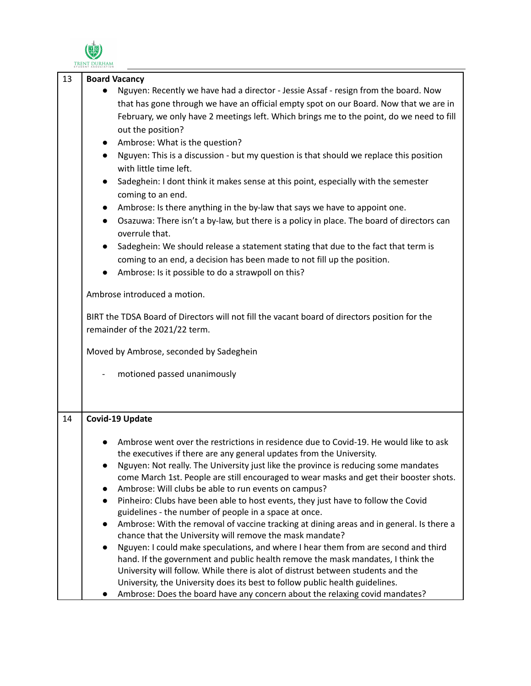

|    | TRENT DURHAM                                                                                                                                                                                                                                                                                                                                                                                                                                                                                                                                                                                                                                                                                                                                                                                                                                                                                                                                                                                                                                                                                                                                                                                                                                                                      |
|----|-----------------------------------------------------------------------------------------------------------------------------------------------------------------------------------------------------------------------------------------------------------------------------------------------------------------------------------------------------------------------------------------------------------------------------------------------------------------------------------------------------------------------------------------------------------------------------------------------------------------------------------------------------------------------------------------------------------------------------------------------------------------------------------------------------------------------------------------------------------------------------------------------------------------------------------------------------------------------------------------------------------------------------------------------------------------------------------------------------------------------------------------------------------------------------------------------------------------------------------------------------------------------------------|
| 13 | <b>Board Vacancy</b><br>Nguyen: Recently we have had a director - Jessie Assaf - resign from the board. Now<br>that has gone through we have an official empty spot on our Board. Now that we are in<br>February, we only have 2 meetings left. Which brings me to the point, do we need to fill<br>out the position?<br>Ambrose: What is the question?<br>Nguyen: This is a discussion - but my question is that should we replace this position<br>$\bullet$<br>with little time left.<br>Sadeghein: I dont think it makes sense at this point, especially with the semester<br>coming to an end.<br>Ambrose: Is there anything in the by-law that says we have to appoint one.<br>Osazuwa: There isn't a by-law, but there is a policy in place. The board of directors can<br>$\bullet$<br>overrule that.<br>Sadeghein: We should release a statement stating that due to the fact that term is<br>coming to an end, a decision has been made to not fill up the position.<br>Ambrose: Is it possible to do a strawpoll on this?<br>Ambrose introduced a motion.<br>BIRT the TDSA Board of Directors will not fill the vacant board of directors position for the<br>remainder of the 2021/22 term.<br>Moved by Ambrose, seconded by Sadeghein<br>motioned passed unanimously |
| 14 | <b>Covid-19 Update</b><br>Ambrose went over the restrictions in residence due to Covid-19. He would like to ask<br>the executives if there are any general updates from the University.<br>Nguyen: Not really. The University just like the province is reducing some mandates<br>come March 1st. People are still encouraged to wear masks and get their booster shots.<br>Ambrose: Will clubs be able to run events on campus?<br>Pinheiro: Clubs have been able to host events, they just have to follow the Covid<br>guidelines - the number of people in a space at once.<br>Ambrose: With the removal of vaccine tracking at dining areas and in general. Is there a<br>chance that the University will remove the mask mandate?<br>Nguyen: I could make speculations, and where I hear them from are second and third<br>hand. If the government and public health remove the mask mandates, I think the<br>University will follow. While there is alot of distrust between students and the<br>University, the University does its best to follow public health guidelines.<br>Ambrose: Does the board have any concern about the relaxing covid mandates?                                                                                                                |